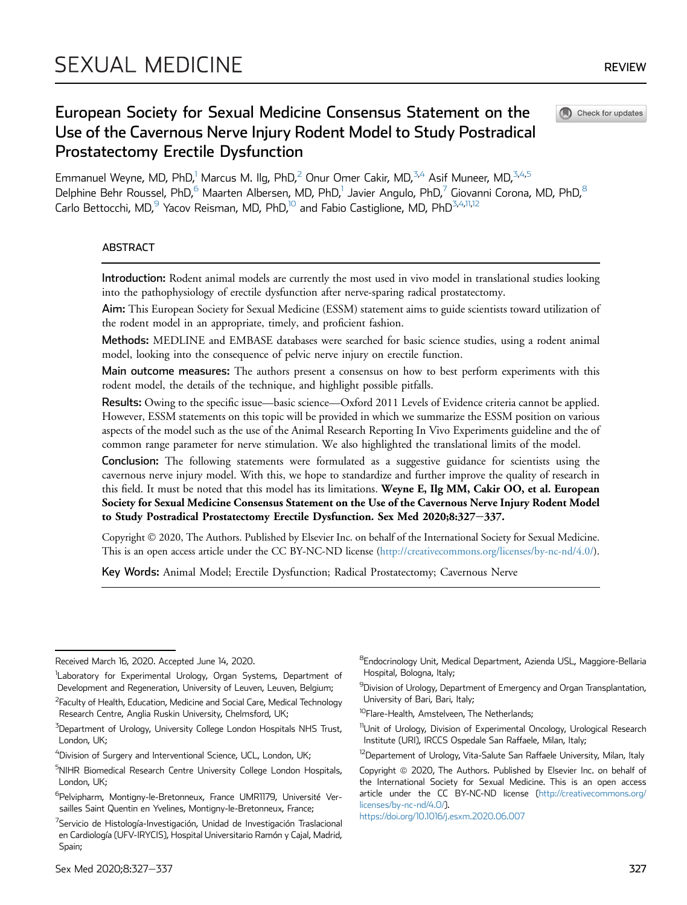Check for updates

 $\blacksquare$ 

# European Society for Sexual Medicine Consensus Statement on the Use of the Cavernous Nerve Injury Rodent Model to Study Postradical Prostatectomy Erectile Dysfunction

Emmanuel Weyne, MD, PhD,<sup>1</sup> Marcus M. Ilg, PhD,<sup>[2](#page-0-0)</sup> Onur Omer Cakir, MD,<sup>3[,4](#page-0-2)</sup> Asif Muneer, MD,<sup>[3,](#page-0-1)[4](#page-0-2)[,5](#page-0-3)</sup> Delphine Behr Roussel, PhD,<sup>[6](#page-0-4)</sup> Maarten Albersen, MD, PhD,<sup>1</sup> Javier Angulo, PhD,<sup>[7](#page-0-5)</sup> Giovanni Corona, MD, PhD,<sup>[8](#page-0-6)</sup> Carlo Bettocchi, MD,<sup>9</sup> Yacov Reisman, MD, PhD,<sup>[10](#page-0-8)</sup> and Fabio Castiglione, MD, PhD<sup>[3](#page-0-1),[4,](#page-0-2)[11,](#page-0-9)[12](#page-0-10)</sup>

## ABSTRACT

Introduction: Rodent animal models are currently the most used in vivo model in translational studies looking into the pathophysiology of erectile dysfunction after nerve-sparing radical prostatectomy.

Aim: This European Society for Sexual Medicine (ESSM) statement aims to guide scientists toward utilization of the rodent model in an appropriate, timely, and proficient fashion.

Methods: MEDLINE and EMBASE databases were searched for basic science studies, using a rodent animal model, looking into the consequence of pelvic nerve injury on erectile function.

Main outcome measures: The authors present a consensus on how to best perform experiments with this rodent model, the details of the technique, and highlight possible pitfalls.

Results: Owing to the specific issue—basic science—Oxford 2011 Levels of Evidence criteria cannot be applied. However, ESSM statements on this topic will be provided in which we summarize the ESSM position on various aspects of the model such as the use of the Animal Research Reporting In Vivo Experiments guideline and the of common range parameter for nerve stimulation. We also highlighted the translational limits of the model.

Conclusion: The following statements were formulated as a suggestive guidance for scientists using the cavernous nerve injury model. With this, we hope to standardize and further improve the quality of research in this field. It must be noted that this model has its limitations. Weyne E, Ilg MM, Cakir OO, et al. European Society for Sexual Medicine Consensus Statement on the Use of the Cavernous Nerve Injury Rodent Model to Study Postradical Prostatectomy Erectile Dysfunction. Sex Med 2020;8:327-337.

Copyright 2020, The Authors. Published by Elsevier Inc. on behalf of the International Society for Sexual Medicine. This is an open access article under the CC BY-NC-ND license [\(http://creativecommons.org/licenses/by-nc-nd/4.0/](http://creativecommons.org/licenses/by-nc-nd/4.0/)).

Key Words: Animal Model; Erectile Dysfunction; Radical Prostatectomy; Cavernous Nerve

Received March 16, 2020. Accepted June 14, 2020.

<sup>&</sup>lt;sup>1</sup>Laboratory for Experimental Urology, Organ Systems, Department of Development and Regeneration, University of Leuven, Leuven, Belgium;

<span id="page-0-0"></span><sup>&</sup>lt;sup>2</sup>Faculty of Health, Education, Medicine and Social Care, Medical Technology Research Centre, Anglia Ruskin University, Chelmsford, UK;

<span id="page-0-1"></span> $^3$ Department of Urology, University College London Hospitals NHS Trust, London, UK;

<span id="page-0-2"></span> $^4$ Division of Surgery and Interventional Science, UCL, London, UK;

<span id="page-0-3"></span><sup>&</sup>lt;sup>5</sup>NIHR Biomedical Research Centre University College London Hospitals, London, UK;

<span id="page-0-4"></span><sup>&</sup>lt;sup>6</sup>Pelvipharm, Montigny-le-Bretonneux, France UMR1179, Université Versailles Saint Quentin en Yvelines, Montigny-le-Bretonneux, France;

<span id="page-0-5"></span><sup>&</sup>lt;sup>7</sup>Servicio de Histología-Investigación, Unidad de Investigación Traslacional en Cardiología (UFV-IRYCIS), Hospital Universitario Ramón y Cajal, Madrid, Spain;

<span id="page-0-6"></span><sup>&</sup>lt;sup>8</sup>Endocrinology Unit, Medical Department, Azienda USL, Maggiore-Bellaria Hospital, Bologna, Italy;

<span id="page-0-7"></span><sup>&</sup>lt;sup>9</sup>Division of Urology, Department of Emergency and Organ Transplantation, University of Bari, Bari, Italy;

<span id="page-0-8"></span><sup>&</sup>lt;sup>10</sup>Flare-Health, Amstelveen, The Netherlands;

<span id="page-0-9"></span><sup>&</sup>lt;sup>11</sup>Unit of Urology, Division of Experimental Oncology, Urological Research Institute (URI), IRCCS Ospedale San Raffaele, Milan, Italy;

<span id="page-0-10"></span><sup>&</sup>lt;sup>12</sup>Departement of Urology, Vita-Salute San Raffaele University, Milan, Italy

Copyright @ 2020, The Authors. Published by Elsevier Inc. on behalf of the International Society for Sexual Medicine. This is an open access article under the CC BY-NC-ND license ([http://creativecommons.org/](http://creativecommons.org/licenses/by-nc-nd/4.0/) [licenses/by-nc-nd/4.0/](http://creativecommons.org/licenses/by-nc-nd/4.0/)).

<https://doi.org/10.1016/j.esxm.2020.06.007>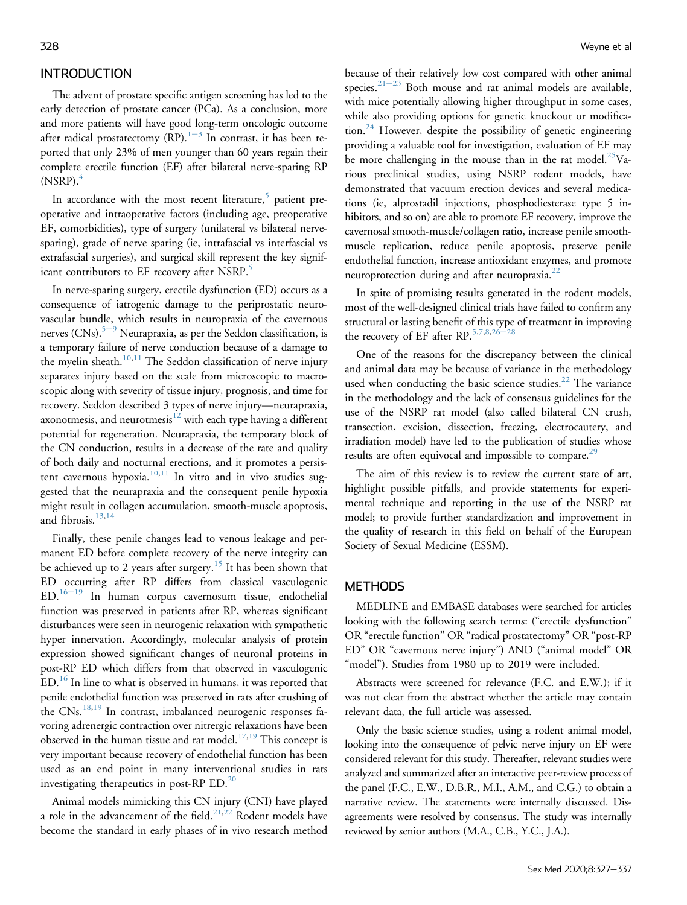## INTRODUCTION

The advent of prostate specific antigen screening has led to the early detection of prostate cancer (PCa). As a conclusion, more and more patients will have good long-term oncologic outcome after radical prostatectomy (RP). $1-3$  $1-3$  $1-3$  In contrast, it has been reported that only 23% of men younger than 60 years regain their complete erectile function (EF) after bilateral nerve-sparing RP  $(NSRP).<sup>4</sup>$  $(NSRP).<sup>4</sup>$  $(NSRP).<sup>4</sup>$ 

In accordance with the most recent literature,<sup>[5](#page-7-2)</sup> patient preoperative and intraoperative factors (including age, preoperative EF, comorbidities), type of surgery (unilateral vs bilateral nervesparing), grade of nerve sparing (ie, intrafascial vs interfascial vs extrafascial surgeries), and surgical skill represent the key signif-icant contributors to EF recovery after NSRP.<sup>[5](#page-7-2)</sup>

In nerve-sparing surgery, erectile dysfunction (ED) occurs as a consequence of iatrogenic damage to the periprostatic neurovascular bundle, which results in neuropraxia of the cavernous nerves  $(CNs)$ <sup>[5](#page-7-2)-[9](#page-7-2)</sup> Neurapraxia, as per the Seddon classification, is a temporary failure of nerve conduction because of a damage to the myelin sheath.<sup>[10](#page-7-3)[,11](#page-7-4)</sup> The Seddon classification of nerve injury separates injury based on the scale from microscopic to macroscopic along with severity of tissue injury, prognosis, and time for recovery. Seddon described 3 types of nerve injury—neurapraxia, axonotmesis, and neurotmesis $12$  with each type having a different potential for regeneration. Neurapraxia, the temporary block of the CN conduction, results in a decrease of the rate and quality of both daily and nocturnal erections, and it promotes a persis-tent cavernous hypoxia.<sup>[10,](#page-7-3)[11](#page-7-4)</sup> In vitro and in vivo studies suggested that the neurapraxia and the consequent penile hypoxia might result in collagen accumulation, smooth-muscle apoptosis, and fibrosis. $13,14$  $13,14$ 

Finally, these penile changes lead to venous leakage and permanent ED before complete recovery of the nerve integrity can be achieved up to 2 years after surgery.  $^{15}$  $^{15}$  $^{15}$  It has been shown that ED occurring after RP differs from classical vasculogenic  $ED.^{16-19}$  $ED.^{16-19}$  $ED.^{16-19}$  $ED.^{16-19}$  $ED.^{16-19}$  In human corpus cavernosum tissue, endothelial function was preserved in patients after RP, whereas significant disturbances were seen in neurogenic relaxation with sympathetic hyper innervation. Accordingly, molecular analysis of protein expression showed significant changes of neuronal proteins in post-RP ED which differs from that observed in vasculogenic ED.[16](#page-7-9) In line to what is observed in humans, it was reported that penile endothelial function was preserved in rats after crushing of the CNs.<sup>[18,](#page-7-10)[19](#page-7-11)</sup> In contrast, imbalanced neurogenic responses favoring adrenergic contraction over nitrergic relaxations have been observed in the human tissue and rat model.<sup>[17](#page-7-12),[19](#page-7-11)</sup> This concept is very important because recovery of endothelial function has been used as an end point in many interventional studies in rats investigating therapeutics in post-RP  $ED.^{20}$  $ED.^{20}$  $ED.^{20}$ .

Animal models mimicking this CN injury (CNI) have played a role in the advancement of the field.<sup>[21,](#page-7-14)[22](#page-7-15)</sup> Rodent models have become the standard in early phases of in vivo research method because of their relatively low cost compared with other animal species. $21-23$  $21-23$  $21-23$  Both mouse and rat animal models are available, with mice potentially allowing higher throughput in some cases, while also providing options for genetic knockout or modifica-tion.<sup>[24](#page-7-16)</sup> However, despite the possibility of genetic engineering providing a valuable tool for investigation, evaluation of EF may be more challenging in the mouse than in the rat model.<sup>[25](#page-7-17)</sup>Various preclinical studies, using NSRP rodent models, have demonstrated that vacuum erection devices and several medications (ie, alprostadil injections, phosphodiesterase type 5 inhibitors, and so on) are able to promote EF recovery, improve the cavernosal smooth-muscle/collagen ratio, increase penile smoothmuscle replication, reduce penile apoptosis, preserve penile endothelial function, increase antioxidant enzymes, and promote neuroprotection during and after neuropraxia.<sup>[22](#page-7-15)</sup>

In spite of promising results generated in the rodent models, most of the well-designed clinical trials have failed to confirm any structural or lasting benefit of this type of treatment in improving the recovery of EF after RP. $5,7,8,26$  $5,7,8,26$  $5,7,8,26$  $5,7,8,26$ 

One of the reasons for the discrepancy between the clinical and animal data may be because of variance in the methodology used when conducting the basic science studies.<sup>[22](#page-7-15)</sup> The variance in the methodology and the lack of consensus guidelines for the use of the NSRP rat model (also called bilateral CN crush, transection, excision, dissection, freezing, electrocautery, and irradiation model) have led to the publication of studies whose results are often equivocal and impossible to compare.<sup>[29](#page-8-0)</sup>

The aim of this review is to review the current state of art, highlight possible pitfalls, and provide statements for experimental technique and reporting in the use of the NSRP rat model; to provide further standardization and improvement in the quality of research in this field on behalf of the European Society of Sexual Medicine (ESSM).

## **METHODS**

MEDLINE and EMBASE databases were searched for articles looking with the following search terms: ("erectile dysfunction" OR "erectile function" OR "radical prostatectomy" OR "post-RP ED" OR "cavernous nerve injury") AND ("animal model" OR "model"). Studies from 1980 up to 2019 were included.

Abstracts were screened for relevance (F.C. and E.W.); if it was not clear from the abstract whether the article may contain relevant data, the full article was assessed.

Only the basic science studies, using a rodent animal model, looking into the consequence of pelvic nerve injury on EF were considered relevant for this study. Thereafter, relevant studies were analyzed and summarized after an interactive peer-review process of the panel (F.C., E.W., D.B.R., M.I., A.M., and C.G.) to obtain a narrative review. The statements were internally discussed. Disagreements were resolved by consensus. The study was internally reviewed by senior authors (M.A., C.B., Y.C., J.A.).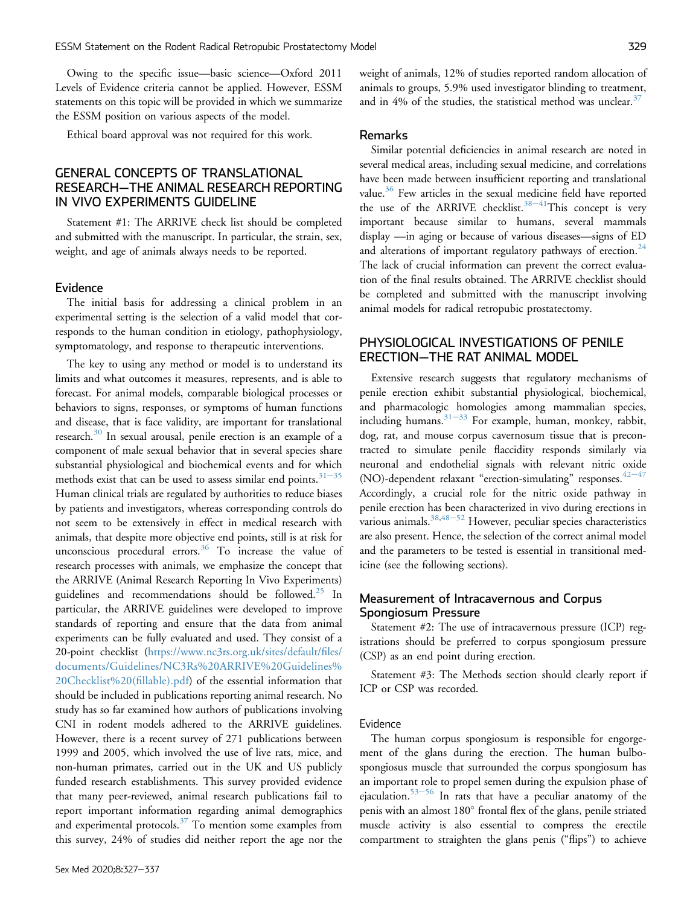Owing to the specific issue—basic science—Oxford 2011 Levels of Evidence criteria cannot be applied. However, ESSM statements on this topic will be provided in which we summarize the ESSM position on various aspects of the model.

Ethical board approval was not required for this work.

## GENERAL CONCEPTS OF TRANSLATIONAL RESEARCH—THE ANIMAL RESEARCH REPORTING IN VIVO EXPERIMENTS GUIDELINE

Statement #1: The ARRIVE check list should be completed and submitted with the manuscript. In particular, the strain, sex, weight, and age of animals always needs to be reported.

#### Evidence

The initial basis for addressing a clinical problem in an experimental setting is the selection of a valid model that corresponds to the human condition in etiology, pathophysiology, symptomatology, and response to therapeutic interventions.

The key to using any method or model is to understand its limits and what outcomes it measures, represents, and is able to forecast. For animal models, comparable biological processes or behaviors to signs, responses, or symptoms of human functions and disease, that is face validity, are important for translational research.[30](#page-8-1) In sexual arousal, penile erection is an example of a component of male sexual behavior that in several species share substantial physiological and biochemical events and for which methods exist that can be used to assess similar end points.<sup> $31–35$  $31–35$ </sup> Human clinical trials are regulated by authorities to reduce biases by patients and investigators, whereas corresponding controls do not seem to be extensively in effect in medical research with animals, that despite more objective end points, still is at risk for unconscious procedural errors. $36$  To increase the value of research processes with animals, we emphasize the concept that the ARRIVE (Animal Research Reporting In Vivo Experiments) guidelines and recommendations should be followed.<sup>[25](#page-7-17)</sup> In particular, the ARRIVE guidelines were developed to improve standards of reporting and ensure that the data from animal experiments can be fully evaluated and used. They consist of a 20-point checklist ([https://www.nc3rs.org.uk/sites/default/](https://www.nc3rs.org.uk/sites/default/files/documents/Guidelines/NC3Rs%20ARRIVE%20Guidelines%20Checklist%20(fillable).pdf)files/ [documents/Guidelines/NC3Rs%20ARRIVE%20Guidelines%](https://www.nc3rs.org.uk/sites/default/files/documents/Guidelines/NC3Rs%20ARRIVE%20Guidelines%20Checklist%20(fillable).pdf) [20Checklist%20\(](https://www.nc3rs.org.uk/sites/default/files/documents/Guidelines/NC3Rs%20ARRIVE%20Guidelines%20Checklist%20(fillable).pdf)fillable).pdf) of the essential information that should be included in publications reporting animal research. No study has so far examined how authors of publications involving CNI in rodent models adhered to the ARRIVE guidelines. However, there is a recent survey of 271 publications between 1999 and 2005, which involved the use of live rats, mice, and non-human primates, carried out in the UK and US publicly funded research establishments. This survey provided evidence that many peer-reviewed, animal research publications fail to report important information regarding animal demographics and experimental protocols.<sup>[37](#page-8-4)</sup> To mention some examples from this survey, 24% of studies did neither report the age nor the weight of animals, 12% of studies reported random allocation of animals to groups, 5.9% used investigator blinding to treatment, and in 4% of the studies, the statistical method was unclear.  $37$ 

#### Remarks

Similar potential deficiencies in animal research are noted in several medical areas, including sexual medicine, and correlations have been made between insufficient reporting and translational value.<sup>[36](#page-8-3)</sup> Few articles in the sexual medicine field have reported the use of the ARRIVE checklist.<sup>[38](#page-8-5)-[41](#page-8-5)</sup>This concept is very important because similar to humans, several mammals display —in aging or because of various diseases—signs of ED and alterations of important regulatory pathways of erection.<sup>24</sup> The lack of crucial information can prevent the correct evaluation of the final results obtained. The ARRIVE checklist should be completed and submitted with the manuscript involving animal models for radical retropubic prostatectomy.

## PHYSIOLOGICAL INVESTIGATIONS OF PENILE ERECTION—THE RAT ANIMAL MODEL

Extensive research suggests that regulatory mechanisms of penile erection exhibit substantial physiological, biochemical, and pharmacologic homologies among mammalian species, including humans. $31-33$  $31-33$  $31-33$  For example, human, monkey, rabbit, dog, rat, and mouse corpus cavernosum tissue that is precontracted to simulate penile flaccidity responds similarly via neuronal and endothelial signals with relevant nitric oxide (NO)-dependent relaxant "erection-simulating" responses.  $42-47$  $42-47$  $42-47$ Accordingly, a crucial role for the nitric oxide pathway in penile erection has been characterized in vivo during erections in various animals. $38,48-52$  $38,48-52$  $38,48-52$  $38,48-52$  However, peculiar species characteristics are also present. Hence, the selection of the correct animal model and the parameters to be tested is essential in transitional medicine (see the following sections).

## Measurement of Intracavernous and Corpus Spongiosum Pressure

Statement #2: The use of intracavernous pressure (ICP) registrations should be preferred to corpus spongiosum pressure (CSP) as an end point during erection.

Statement #3: The Methods section should clearly report if ICP or CSP was recorded.

### Evidence

The human corpus spongiosum is responsible for engorgement of the glans during the erection. The human bulbospongiosus muscle that surrounded the corpus spongiosum has an important role to propel semen during the expulsion phase of ejaculation.<sup>[53](#page-8-8)–[56](#page-8-8)</sup> In rats that have a peculiar anatomy of the penis with an almost 180° frontal flex of the glans, penile striated muscle activity is also essential to compress the erectile compartment to straighten the glans penis ("flips") to achieve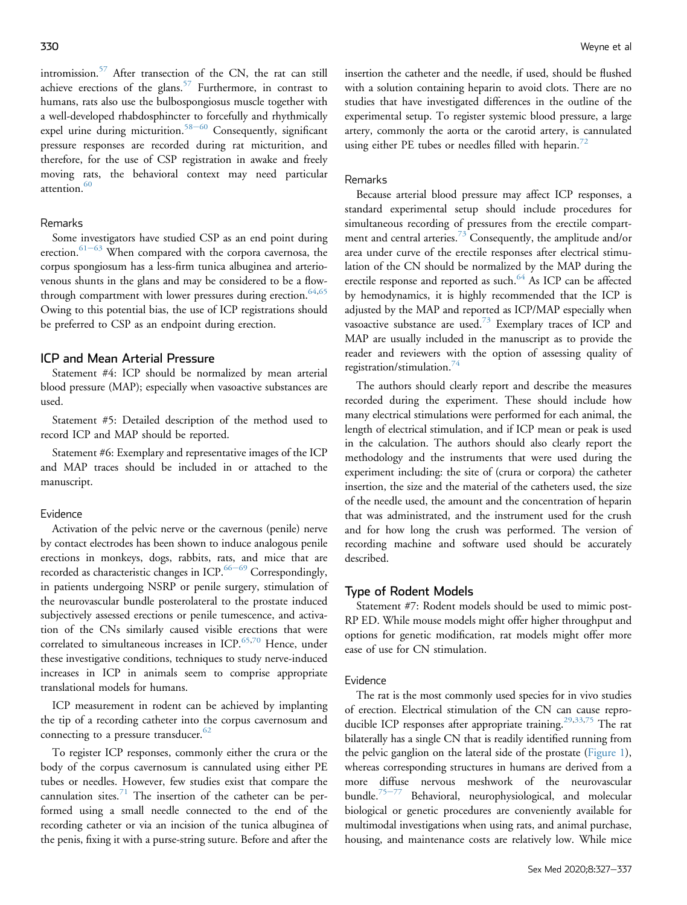intromission. $57$  After transection of the CN, the rat can still achieve erections of the glans.<sup>[57](#page-8-9)</sup> Furthermore, in contrast to humans, rats also use the bulbospongiosus muscle together with a well-developed rhabdosphincter to forcefully and rhythmically expel urine during micturition.<sup>[58](#page-8-10)-[60](#page-8-10)</sup> Consequently, significant pressure responses are recorded during rat micturition, and therefore, for the use of CSP registration in awake and freely moving rats, the behavioral context may need particular attention  $60$ 

## Remarks

Some investigators have studied CSP as an end point during erection. $61-63$  $61-63$  $61-63$  When compared with the corpora cavernosa, the corpus spongiosum has a less-firm tunica albuginea and arteriovenous shunts in the glans and may be considered to be a flow-through compartment with lower pressures during erection.<sup>64,[65](#page-9-2)</sup> Owing to this potential bias, the use of ICP registrations should be preferred to CSP as an endpoint during erection.

#### ICP and Mean Arterial Pressure

Statement #4: ICP should be normalized by mean arterial blood pressure (MAP); especially when vasoactive substances are used.

Statement #5: Detailed description of the method used to record ICP and MAP should be reported.

Statement #6: Exemplary and representative images of the ICP and MAP traces should be included in or attached to the manuscript.

#### Evidence

Activation of the pelvic nerve or the cavernous (penile) nerve by contact electrodes has been shown to induce analogous penile erections in monkeys, dogs, rabbits, rats, and mice that are recorded as characteristic changes in ICP. $66-69$  $66-69$  $66-69$  Correspondingly, in patients undergoing NSRP or penile surgery, stimulation of the neurovascular bundle posterolateral to the prostate induced subjectively assessed erections or penile tumescence, and activation of the CNs similarly caused visible erections that were correlated to simultaneous increases in ICP.<sup>[65](#page-9-2)[,70](#page-9-4)</sup> Hence, under these investigative conditions, techniques to study nerve-induced increases in ICP in animals seem to comprise appropriate translational models for humans.

ICP measurement in rodent can be achieved by implanting the tip of a recording catheter into the corpus cavernosum and connecting to a pressure transducer. $62$ 

To register ICP responses, commonly either the crura or the body of the corpus cavernosum is cannulated using either PE tubes or needles. However, few studies exist that compare the cannulation sites.<sup>[71](#page-9-6)</sup> The insertion of the catheter can be performed using a small needle connected to the end of the recording catheter or via an incision of the tunica albuginea of the penis, fixing it with a purse-string suture. Before and after the

insertion the catheter and the needle, if used, should be flushed with a solution containing heparin to avoid clots. There are no studies that have investigated differences in the outline of the experimental setup. To register systemic blood pressure, a large artery, commonly the aorta or the carotid artery, is cannulated using either PE tubes or needles filled with heparin.<sup>[72](#page-9-7)</sup>

#### Remarks

Because arterial blood pressure may affect ICP responses, a standard experimental setup should include procedures for simultaneous recording of pressures from the erectile compart-ment and central arteries.<sup>[73](#page-9-8)</sup> Consequently, the amplitude and/or area under curve of the erectile responses after electrical stimulation of the CN should be normalized by the MAP during the erectile response and reported as such.<sup>[64](#page-9-1)</sup> As ICP can be affected by hemodynamics, it is highly recommended that the ICP is adjusted by the MAP and reported as ICP/MAP especially when vasoactive substance are used. $73$  Exemplary traces of ICP and MAP are usually included in the manuscript as to provide the reader and reviewers with the option of assessing quality of registration/stimulation.[74](#page-9-9)

The authors should clearly report and describe the measures recorded during the experiment. These should include how many electrical stimulations were performed for each animal, the length of electrical stimulation, and if ICP mean or peak is used in the calculation. The authors should also clearly report the methodology and the instruments that were used during the experiment including: the site of (crura or corpora) the catheter insertion, the size and the material of the catheters used, the size of the needle used, the amount and the concentration of heparin that was administrated, and the instrument used for the crush and for how long the crush was performed. The version of recording machine and software used should be accurately described.

### Type of Rodent Models

Statement #7: Rodent models should be used to mimic post-RP ED. While mouse models might offer higher throughput and options for genetic modification, rat models might offer more ease of use for CN stimulation.

#### Evidence

The rat is the most commonly used species for in vivo studies of erection. Electrical stimulation of the CN can cause repro-ducible ICP responses after appropriate training.<sup>[29,](#page-8-0)[33](#page-8-12)[,75](#page-9-10)</sup> The rat bilaterally has a single CN that is readily identified running from the pelvic ganglion on the lateral side of the prostate [\(Figure 1\)](#page-4-0), whereas corresponding structures in humans are derived from a more diffuse nervous meshwork of the neurovascular bundle.<sup>[75](#page-9-10)-[77](#page-9-10)</sup> Behavioral, neurophysiological, and molecular biological or genetic procedures are conveniently available for multimodal investigations when using rats, and animal purchase, housing, and maintenance costs are relatively low. While mice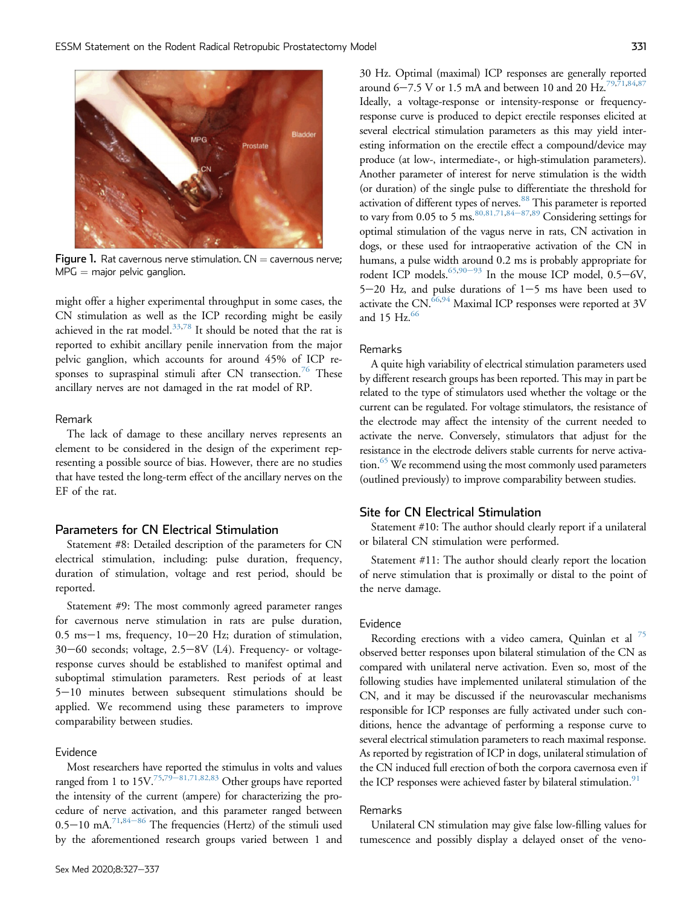<span id="page-4-0"></span>

Figure 1. Rat cavernous nerve stimulation.  $CN =$  cavernous nerve;  $MPG =$  major pelvic ganglion.

might offer a higher experimental throughput in some cases, the CN stimulation as well as the ICP recording might be easily achieved in the rat model. $33,78$  $33,78$  It should be noted that the rat is reported to exhibit ancillary penile innervation from the major pelvic ganglion, which accounts for around 45% of ICP responses to supraspinal stimuli after  $CN$  transection.<sup>[76](#page-9-12)</sup> These ancillary nerves are not damaged in the rat model of RP.

#### Remark

The lack of damage to these ancillary nerves represents an element to be considered in the design of the experiment representing a possible source of bias. However, there are no studies that have tested the long-term effect of the ancillary nerves on the EF of the rat.

## Parameters for CN Electrical Stimulation

Statement #8: Detailed description of the parameters for CN electrical stimulation, including: pulse duration, frequency, duration of stimulation, voltage and rest period, should be reported.

Statement #9: The most commonly agreed parameter ranges for cavernous nerve stimulation in rats are pulse duration,  $0.5$  ms-1 ms, frequency,  $10-20$  Hz; duration of stimulation, 30-60 seconds; voltage, 2.5-8V (L4). Frequency- or voltageresponse curves should be established to manifest optimal and suboptimal stimulation parameters. Rest periods of at least  $5-10$  minutes between subsequent stimulations should be applied. We recommend using these parameters to improve comparability between studies.

#### Evidence

Most researchers have reported the stimulus in volts and values ranged from 1 to  $15V^{75,79-81,71,82,83}$  $15V^{75,79-81,71,82,83}$  $15V^{75,79-81,71,82,83}$  $15V^{75,79-81,71,82,83}$  $15V^{75,79-81,71,82,83}$  $15V^{75,79-81,71,82,83}$  $15V^{75,79-81,71,82,83}$  Other groups have reported the intensity of the current (ampere) for characterizing the procedure of nerve activation, and this parameter ranged between  $0.5-10$  mA.<sup>[71](#page-9-6),[84](#page-9-14)-[86](#page-9-14)</sup> The frequencies (Hertz) of the stimuli used by the aforementioned research groups varied between 1 and 30 Hz. Optimal (maximal) ICP responses are generally reported around 6–7.5 V or 1.5 mA and between 10 and 20 Hz.<sup>79,[71](#page-9-6)[,84,](#page-9-14)[87](#page-9-15)</sup> Ideally, a voltage-response or intensity-response or frequencyresponse curve is produced to depict erectile responses elicited at several electrical stimulation parameters as this may yield interesting information on the erectile effect a compound/device may produce (at low-, intermediate-, or high-stimulation parameters). Another parameter of interest for nerve stimulation is the width (or duration) of the single pulse to differentiate the threshold for activation of different types of nerves.<sup>[88](#page-9-16)</sup> This parameter is reported to vary from 0.05 to 5 ms.  $80,81,71,84-87,89$  $80,81,71,84-87,89$  $80,81,71,84-87,89$  $80,81,71,84-87,89$  $80,81,71,84-87,89$  Considering settings for optimal stimulation of the vagus nerve in rats, CN activation in dogs, or these used for intraoperative activation of the CN in humans, a pulse width around 0.2 ms is probably appropriate for rodent ICP models.<sup>65[,90](#page-9-19)–[93](#page-9-19)</sup> In the mouse ICP model,  $0.5-6V$ ,  $5-20$  Hz, and pulse durations of  $1-5$  ms have been used to activate the  $CN$ .<sup>[66](#page-9-3),[94](#page-10-0)</sup> Maximal ICP responses were reported at  $3V$ and 15  $Hz<sup>66</sup>$ 

#### Remarks

A quite high variability of electrical stimulation parameters used by different research groups has been reported. This may in part be related to the type of stimulators used whether the voltage or the current can be regulated. For voltage stimulators, the resistance of the electrode may affect the intensity of the current needed to activate the nerve. Conversely, stimulators that adjust for the resistance in the electrode delivers stable currents for nerve activation.<sup>65</sup> We recommend using the most commonly used parameters (outlined previously) to improve comparability between studies.

#### Site for CN Electrical Stimulation

Statement #10: The author should clearly report if a unilateral or bilateral CN stimulation were performed.

Statement #11: The author should clearly report the location of nerve stimulation that is proximally or distal to the point of the nerve damage.

#### Evidence

Recording erections with a video camera, Quinlan et al  $^{75}$  $^{75}$  $^{75}$ observed better responses upon bilateral stimulation of the CN as compared with unilateral nerve activation. Even so, most of the following studies have implemented unilateral stimulation of the CN, and it may be discussed if the neurovascular mechanisms responsible for ICP responses are fully activated under such conditions, hence the advantage of performing a response curve to several electrical stimulation parameters to reach maximal response. As reported by registration of ICP in dogs, unilateral stimulation of the CN induced full erection of both the corpora cavernosa even if the ICP responses were achieved faster by bilateral stimulation.<sup>91</sup>

#### Remarks

Unilateral CN stimulation may give false low-filling values for tumescence and possibly display a delayed onset of the veno-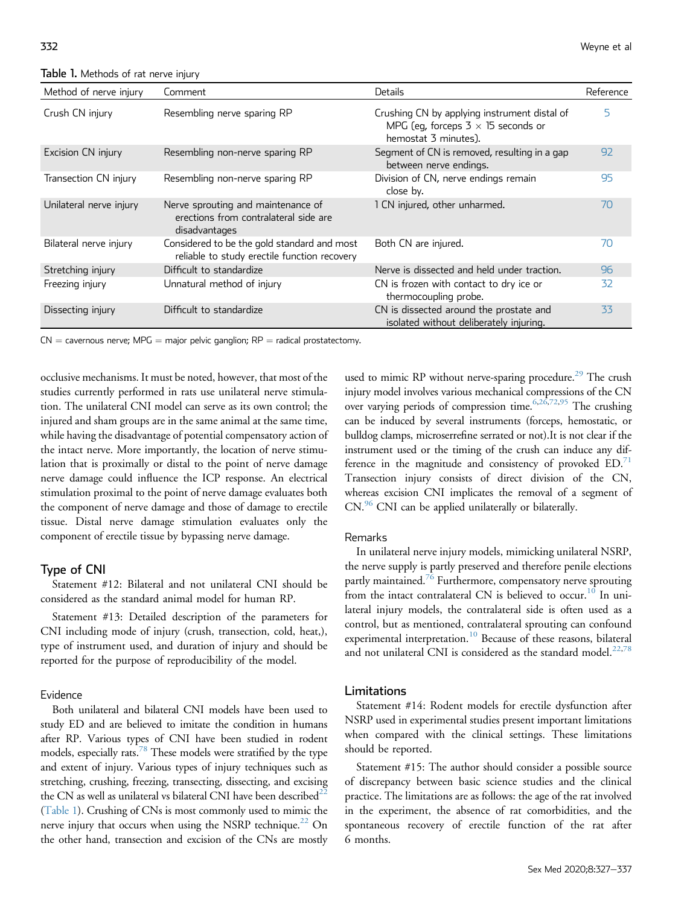<span id="page-5-0"></span>Table 1. Methods of rat nerve injury

| Method of nerve injury  | Comment                                                                                      | Details                                                                                                           | Reference |
|-------------------------|----------------------------------------------------------------------------------------------|-------------------------------------------------------------------------------------------------------------------|-----------|
| Crush CN injury         | Resembling nerve sparing RP                                                                  | Crushing CN by applying instrument distal of<br>MPG (eq, forceps $3 \times 15$ seconds or<br>hemostat 3 minutes). | 5         |
| Excision CN injury      | Resembling non-nerve sparing RP                                                              | Segment of CN is removed, resulting in a gap<br>between nerve endings.                                            | 92        |
| Transection CN injury   | Resembling non-nerve sparing RP                                                              | Division of CN, nerve endings remain<br>close by.                                                                 | 95        |
| Unilateral nerve injury | Nerve sprouting and maintenance of<br>erections from contralateral side are<br>disadvantages | 1 CN injured, other unharmed.                                                                                     | 70        |
| Bilateral nerve injury  | Considered to be the gold standard and most<br>reliable to study erectile function recovery  | Both CN are injured.                                                                                              | 70        |
| Stretching injury       | Difficult to standardize                                                                     | Nerve is dissected and held under traction.                                                                       | 96        |
| Freezing injury         | Unnatural method of injury                                                                   | CN is frozen with contact to dry ice or<br>thermocoupling probe.                                                  | 32        |
| Dissecting injury       | Difficult to standardize                                                                     | CN is dissected around the prostate and<br>isolated without deliberately injuring.                                | 33        |

 $CN =$  cavernous nerve; MPG  $=$  major pelvic ganglion; RP  $=$  radical prostatectomy.

occlusive mechanisms. It must be noted, however, that most of the studies currently performed in rats use unilateral nerve stimulation. The unilateral CNI model can serve as its own control; the injured and sham groups are in the same animal at the same time, while having the disadvantage of potential compensatory action of the intact nerve. More importantly, the location of nerve stimulation that is proximally or distal to the point of nerve damage nerve damage could influence the ICP response. An electrical stimulation proximal to the point of nerve damage evaluates both the component of nerve damage and those of damage to erectile tissue. Distal nerve damage stimulation evaluates only the component of erectile tissue by bypassing nerve damage.

#### Type of CNI

Statement #12: Bilateral and not unilateral CNI should be considered as the standard animal model for human RP.

Statement #13: Detailed description of the parameters for CNI including mode of injury (crush, transection, cold, heat,), type of instrument used, and duration of injury and should be reported for the purpose of reproducibility of the model.

#### Evidence

Both unilateral and bilateral CNI models have been used to study ED and are believed to imitate the condition in humans after RP. Various types of CNI have been studied in rodent models, especially rats.<sup>78</sup> These models were stratified by the type and extent of injury. Various types of injury techniques such as stretching, crushing, freezing, transecting, dissecting, and excising the CN as well as unilateral vs bilateral CNI have been described $^2$ [\(Table 1](#page-5-0)). Crushing of CNs is most commonly used to mimic the nerve injury that occurs when using the NSRP technique.<sup>22</sup> On the other hand, transection and excision of the CNs are mostly

used to mimic RP without nerve-sparing procedure.<sup>29</sup> The crush injury model involves various mechanical compressions of the CN over varying periods of compression time.<sup>6,[26](#page-7-20)[,72](#page-9-7)[,95](#page-10-1)</sup> The crushing can be induced by several instruments (forceps, hemostatic, or bulldog clamps, microserrefine serrated or not).It is not clear if the instrument used or the timing of the crush can induce any difference in the magnitude and consistency of provoked  $ED.^{71}$  $ED.^{71}$  $ED.^{71}$ Transection injury consists of direct division of the CN, whereas excision CNI implicates the removal of a segment of CN.<sup>96</sup> CNI can be applied unilaterally or bilaterally.

#### Remarks

In unilateral nerve injury models, mimicking unilateral NSRP, the nerve supply is partly preserved and therefore penile elections partly maintained.<sup>[76](#page-9-12)</sup> Furthermore, compensatory nerve sprouting from the intact contralateral CN is believed to occur.<sup>[10](#page-7-3)</sup> In unilateral injury models, the contralateral side is often used as a control, but as mentioned, contralateral sprouting can confound experimental interpretation.<sup>[10](#page-7-3)</sup> Because of these reasons, bilateral and not unilateral CNI is considered as the standard model. $22,78$  $22,78$ 

#### Limitations

Statement #14: Rodent models for erectile dysfunction after NSRP used in experimental studies present important limitations when compared with the clinical settings. These limitations should be reported.

Statement #15: The author should consider a possible source of discrepancy between basic science studies and the clinical practice. The limitations are as follows: the age of the rat involved in the experiment, the absence of rat comorbidities, and the spontaneous recovery of erectile function of the rat after 6 months.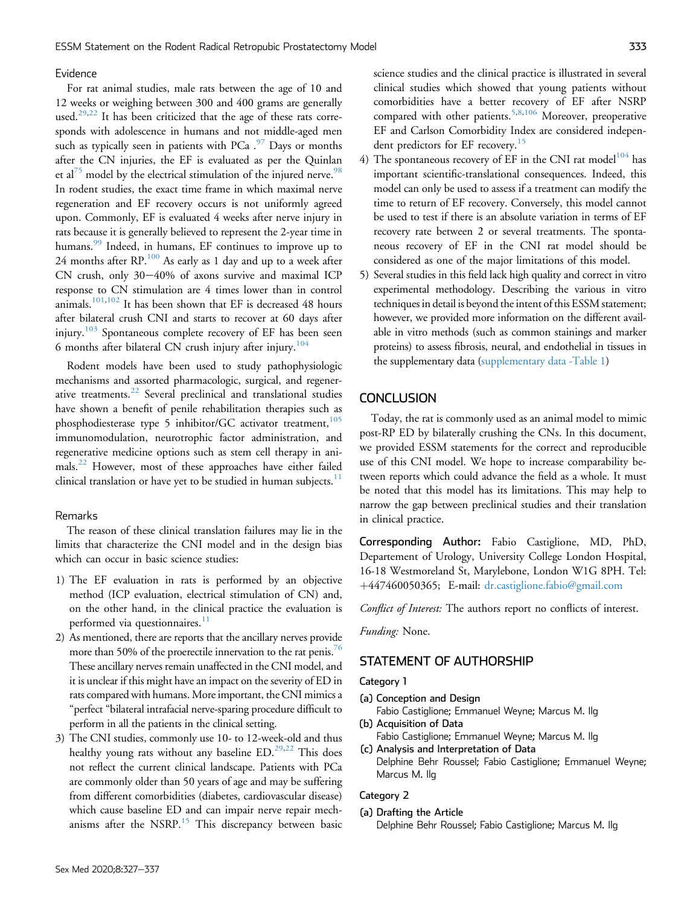#### Evidence

For rat animal studies, male rats between the age of 10 and 12 weeks or weighing between 300 and 400 grams are generally used.<sup>[29](#page-8-0),[22](#page-7-15)</sup> It has been criticized that the age of these rats corresponds with adolescence in humans and not middle-aged men such as typically seen in patients with PCa  $.^{97}$  $.^{97}$  $.^{97}$  Days or months after the CN injuries, the EF is evaluated as per the Quinlan et al<sup>[75](#page-9-10)</sup> model by the electrical stimulation of the injured nerve.<sup>98</sup> In rodent studies, the exact time frame in which maximal nerve regeneration and EF recovery occurs is not uniformly agreed upon. Commonly, EF is evaluated 4 weeks after nerve injury in rats because it is generally believed to represent the 2-year time in humans.<sup>[99](#page-10-5)</sup> Indeed, in humans, EF continues to improve up to 24 months after RP.[100](#page-10-6) As early as 1 day and up to a week after CN crush, only  $30-40\%$  of axons survive and maximal ICP response to CN stimulation are 4 times lower than in control animals.[101,](#page-10-7)[102](#page-10-8) It has been shown that EF is decreased 48 hours after bilateral crush CNI and starts to recover at 60 days after injury.<sup>[103](#page-10-9)</sup> Spontaneous complete recovery of EF has been seen 6 months after bilateral CN crush injury after injury.<sup>[104](#page-10-10)</sup>

Rodent models have been used to study pathophysiologic mechanisms and assorted pharmacologic, surgical, and regenerative treatments.[22](#page-7-15) Several preclinical and translational studies have shown a benefit of penile rehabilitation therapies such as phosphodiesterase type 5 inhibitor/GC activator treatment, $105$ immunomodulation, neurotrophic factor administration, and regenerative medicine options such as stem cell therapy in animals.[22](#page-7-15) However, most of these approaches have either failed clinical translation or have yet to be studied in human subjects. $11$ 

## Remarks

The reason of these clinical translation failures may lie in the limits that characterize the CNI model and in the design bias which can occur in basic science studies:

- 1) The EF evaluation in rats is performed by an objective method (ICP evaluation, electrical stimulation of CN) and, on the other hand, in the clinical practice the evaluation is performed via questionnaires. $\frac{11}{11}$  $\frac{11}{11}$  $\frac{11}{11}$
- 2) As mentioned, there are reports that the ancillary nerves provide more than 50% of the proerectile innervation to the rat penis.<sup>[76](#page-9-12)</sup> These ancillary nerves remain unaffected in the CNI model, and it is unclear if this might have an impact on the severity of ED in rats compared with humans. More important, the CNI mimics a "perfect "bilateral intrafacial nerve-sparing procedure difficult to perform in all the patients in the clinical setting.
- 3) The CNI studies, commonly use 10- to 12-week-old and thus healthy young rats without any baseline  $ED.^{29,22}$  $ED.^{29,22}$  $ED.^{29,22}$  $ED.^{29,22}$ . This does not reflect the current clinical landscape. Patients with PCa are commonly older than 50 years of age and may be suffering from different comorbidities (diabetes, cardiovascular disease) which cause baseline ED and can impair nerve repair mech-anisms after the NSRP.<sup>[15](#page-7-8)</sup> This discrepancy between basic

science studies and the clinical practice is illustrated in several clinical studies which showed that young patients without comorbidities have a better recovery of EF after NSRP compared with other patients.<sup>5,[8](#page-7-19)[,106](#page-10-12)</sup> Moreover, preoperative EF and Carlson Comorbidity Index are considered indepen-dent predictors for EF recovery.<sup>[15](#page-7-8)</sup>

- 4) The spontaneous recovery of EF in the CNI rat model<sup>[104](#page-10-10)</sup> has important scientific-translational consequences. Indeed, this model can only be used to assess if a treatment can modify the time to return of EF recovery. Conversely, this model cannot be used to test if there is an absolute variation in terms of EF recovery rate between 2 or several treatments. The spontaneous recovery of EF in the CNI rat model should be considered as one of the major limitations of this model.
- 5) Several studies in this field lack high quality and correct in vitro experimental methodology. Describing the various in vitro techniques in detail is beyond the intent of this ESSM statement; however, we provided more information on the different available in vitro methods (such as common stainings and marker proteins) to assess fibrosis, neural, and endothelial in tissues in the supplementary data [\(supplementary data -Table 1\)](#page-10-13)

## **CONCLUSION**

Today, the rat is commonly used as an animal model to mimic post-RP ED by bilaterally crushing the CNs. In this document, we provided ESSM statements for the correct and reproducible use of this CNI model. We hope to increase comparability between reports which could advance the field as a whole. It must be noted that this model has its limitations. This may help to narrow the gap between preclinical studies and their translation in clinical practice.

Corresponding Author: Fabio Castiglione, MD, PhD, Departement of Urology, University College London Hospital, 16-18 Westmoreland St, Marylebone, London W1G 8PH. Tel: þ447460050365; E-mail: [dr.castiglione.fabio@gmail.com](mailto:dr.castiglione.fabio@gmail.com)

Conflict of Interest: The authors report no conflicts of interest.

Funding: None.

## STATEMENT OF AUTHORSHIP

#### Category 1

- (a) Conception and Design Fabio Castiglione; Emmanuel Weyne; Marcus M. Ilg
- (b) Acquisition of Data Fabio Castiglione; Emmanuel Weyne; Marcus M. Ilg (c) Analysis and Interpretation of Data
- Delphine Behr Roussel; Fabio Castiglione; Emmanuel Weyne; Marcus M. Ilg

#### Category 2

(a) Drafting the Article Delphine Behr Roussel; Fabio Castiglione; Marcus M. Ilg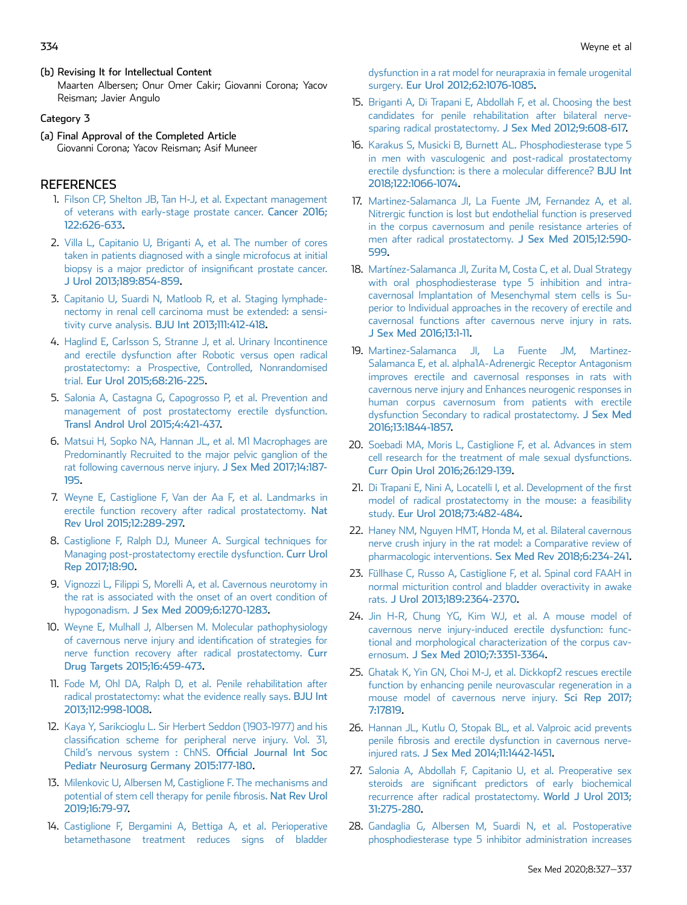(b) Revising It for Intellectual Content Maarten Albersen; Onur Omer Cakir; Giovanni Corona; Yacov Reisman; Javier Angulo

## Category 3

(a) Final Approval of the Completed Article Giovanni Corona; Yacov Reisman; Asif Muneer

## **REFERENCES**

- <span id="page-7-0"></span>1. [Filson CP, Shelton JB, Tan H-J, et al. Expectant management](http://refhub.elsevier.com/S2050-1161(20)30083-0/sref1) [of veterans with early-stage prostate cancer.](http://refhub.elsevier.com/S2050-1161(20)30083-0/sref1) Cancer 2016; [122:626-633.](http://refhub.elsevier.com/S2050-1161(20)30083-0/sref1)
- 2. [Villa L, Capitanio U, Briganti A, et al. The number of cores](http://refhub.elsevier.com/S2050-1161(20)30083-0/sref2) [taken in patients diagnosed with a single microfocus at initial](http://refhub.elsevier.com/S2050-1161(20)30083-0/sref2) [biopsy is a major predictor of insigni](http://refhub.elsevier.com/S2050-1161(20)30083-0/sref2)ficant prostate cancer. [J Urol 2013;189:854-859](http://refhub.elsevier.com/S2050-1161(20)30083-0/sref2).
- 3. [Capitanio U, Suardi N, Matloob R, et al. Staging lymphade](http://refhub.elsevier.com/S2050-1161(20)30083-0/sref3)[nectomy in renal cell carcinoma must be extended: a sensi](http://refhub.elsevier.com/S2050-1161(20)30083-0/sref3)tivity curve analysis. [BJU Int 2013;111:412-418](http://refhub.elsevier.com/S2050-1161(20)30083-0/sref3).
- <span id="page-7-1"></span>4. [Haglind E, Carlsson S, Stranne J, et al. Urinary Incontinence](http://refhub.elsevier.com/S2050-1161(20)30083-0/sref4) [and erectile dysfunction after Robotic versus open radical](http://refhub.elsevier.com/S2050-1161(20)30083-0/sref4) [prostatectomy: a Prospective, Controlled, Nonrandomised](http://refhub.elsevier.com/S2050-1161(20)30083-0/sref4) trial. [Eur Urol 2015;68:216-225.](http://refhub.elsevier.com/S2050-1161(20)30083-0/sref4)
- <span id="page-7-2"></span>5. [Salonia A, Castagna G, Capogrosso P, et al. Prevention and](http://refhub.elsevier.com/S2050-1161(20)30083-0/sref5) [management of post prostatectomy erectile dysfunction.](http://refhub.elsevier.com/S2050-1161(20)30083-0/sref5) [Transl Androl Urol 2015;4:421-437.](http://refhub.elsevier.com/S2050-1161(20)30083-0/sref5)
- <span id="page-7-21"></span>6. [Matsui H, Sopko NA, Hannan JL, et al. M1 Macrophages are](http://refhub.elsevier.com/S2050-1161(20)30083-0/sref6) [Predominantly Recruited to the major pelvic ganglion of the](http://refhub.elsevier.com/S2050-1161(20)30083-0/sref6) [rat following cavernous nerve injury.](http://refhub.elsevier.com/S2050-1161(20)30083-0/sref6) J Sex Med 2017;14:187- [195.](http://refhub.elsevier.com/S2050-1161(20)30083-0/sref6)
- <span id="page-7-18"></span>7. [Weyne E, Castiglione F, Van der Aa F, et al. Landmarks in](http://refhub.elsevier.com/S2050-1161(20)30083-0/sref7) [erectile function recovery after radical prostatectomy.](http://refhub.elsevier.com/S2050-1161(20)30083-0/sref7) Nat [Rev Urol 2015;12:289-297.](http://refhub.elsevier.com/S2050-1161(20)30083-0/sref7)
- <span id="page-7-19"></span>8. [Castiglione F, Ralph DJ, Muneer A. Surgical techniques for](http://refhub.elsevier.com/S2050-1161(20)30083-0/sref8) [Managing post-prostatectomy erectile dysfunction.](http://refhub.elsevier.com/S2050-1161(20)30083-0/sref8) Curr Urol [Rep 2017;18:90](http://refhub.elsevier.com/S2050-1161(20)30083-0/sref8).
- 9. [Vignozzi L, Filippi S, Morelli A, et al. Cavernous neurotomy in](http://refhub.elsevier.com/S2050-1161(20)30083-0/sref9) [the rat is associated with the onset of an overt condition of](http://refhub.elsevier.com/S2050-1161(20)30083-0/sref9) hypogonadism. [J Sex Med 2009;6:1270-1283](http://refhub.elsevier.com/S2050-1161(20)30083-0/sref9).
- <span id="page-7-3"></span>10. [Weyne E, Mulhall J, Albersen M. Molecular pathophysiology](http://refhub.elsevier.com/S2050-1161(20)30083-0/sref10) [of cavernous nerve injury and identi](http://refhub.elsevier.com/S2050-1161(20)30083-0/sref10)fication of strategies for [nerve function recovery after radical prostatectomy.](http://refhub.elsevier.com/S2050-1161(20)30083-0/sref10) Curr [Drug Targets 2015;16:459-473.](http://refhub.elsevier.com/S2050-1161(20)30083-0/sref10)
- <span id="page-7-4"></span>11. [Fode M, Ohl DA, Ralph D, et al. Penile rehabilitation after](http://refhub.elsevier.com/S2050-1161(20)30083-0/sref11) [radical prostatectomy: what the evidence really says.](http://refhub.elsevier.com/S2050-1161(20)30083-0/sref11) BJU Int [2013;112:998-1008.](http://refhub.elsevier.com/S2050-1161(20)30083-0/sref11)
- <span id="page-7-5"></span>12. [Kaya Y, Sarikcioglu L. Sir Herbert Seddon \(1903-1977\) and his](http://refhub.elsevier.com/S2050-1161(20)30083-0/sref12) classifi[cation scheme for peripheral nerve injury. Vol. 31,](http://refhub.elsevier.com/S2050-1161(20)30083-0/sref12) Child'[s nervous system : ChNS.](http://refhub.elsevier.com/S2050-1161(20)30083-0/sref12) Official Journal Int Soc [Pediatr Neurosurg Germany 2015:177-180](http://refhub.elsevier.com/S2050-1161(20)30083-0/sref12).
- <span id="page-7-6"></span>13. [Milenkovic U, Albersen M, Castiglione F. The mechanisms and](http://refhub.elsevier.com/S2050-1161(20)30083-0/sref13) [potential of stem cell therapy for penile](http://refhub.elsevier.com/S2050-1161(20)30083-0/sref13) fibrosis. Nat Rev Urol [2019;16:79-97.](http://refhub.elsevier.com/S2050-1161(20)30083-0/sref13)
- <span id="page-7-7"></span>14. [Castiglione F, Bergamini A, Bettiga A, et al. Perioperative](http://refhub.elsevier.com/S2050-1161(20)30083-0/sref14) [betamethasone treatment reduces signs of bladder](http://refhub.elsevier.com/S2050-1161(20)30083-0/sref14)

[dysfunction in a rat model for neurapraxia in female urogenital](http://refhub.elsevier.com/S2050-1161(20)30083-0/sref14) surgery. [Eur Urol 2012;62:1076-1085](http://refhub.elsevier.com/S2050-1161(20)30083-0/sref14).

- <span id="page-7-8"></span>15. [Briganti A, Di Trapani E, Abdollah F, et al. Choosing the best](http://refhub.elsevier.com/S2050-1161(20)30083-0/sref15) [candidates for penile rehabilitation after bilateral nerve](http://refhub.elsevier.com/S2050-1161(20)30083-0/sref15)[sparing radical prostatectomy.](http://refhub.elsevier.com/S2050-1161(20)30083-0/sref15) J Sex Med 2012;9:608-617.
- <span id="page-7-9"></span>16. [Karakus S, Musicki B, Burnett AL. Phosphodiesterase type 5](http://refhub.elsevier.com/S2050-1161(20)30083-0/sref16) [in men with vasculogenic and post-radical prostatectomy](http://refhub.elsevier.com/S2050-1161(20)30083-0/sref16) [erectile dysfunction: is there a molecular difference?](http://refhub.elsevier.com/S2050-1161(20)30083-0/sref16) BJU Int [2018;122:1066-1074.](http://refhub.elsevier.com/S2050-1161(20)30083-0/sref16)
- <span id="page-7-12"></span>17. [Martinez-Salamanca JI, La Fuente JM, Fernandez A, et al.](http://refhub.elsevier.com/S2050-1161(20)30083-0/sref17) [Nitrergic function is lost but endothelial function is preserved](http://refhub.elsevier.com/S2050-1161(20)30083-0/sref17) [in the corpus cavernosum and penile resistance arteries of](http://refhub.elsevier.com/S2050-1161(20)30083-0/sref17) [men after radical prostatectomy.](http://refhub.elsevier.com/S2050-1161(20)30083-0/sref17) J Sex Med 2015;12:590- [599.](http://refhub.elsevier.com/S2050-1161(20)30083-0/sref17)
- <span id="page-7-10"></span>18. [Martínez-Salamanca JI, Zurita M, Costa C, et al. Dual Strategy](http://refhub.elsevier.com/S2050-1161(20)30083-0/sref18) [with oral phosphodiesterase type 5 inhibition and intra](http://refhub.elsevier.com/S2050-1161(20)30083-0/sref18)[cavernosal Implantation of Mesenchymal stem cells is Su](http://refhub.elsevier.com/S2050-1161(20)30083-0/sref18)[perior to Individual approaches in the recovery of erectile and](http://refhub.elsevier.com/S2050-1161(20)30083-0/sref18) [cavernosal functions after cavernous nerve injury in rats.](http://refhub.elsevier.com/S2050-1161(20)30083-0/sref18) [J Sex Med 2016;13:1-11.](http://refhub.elsevier.com/S2050-1161(20)30083-0/sref18)
- <span id="page-7-11"></span>19. [Martinez-Salamanca JI, La Fuente JM, Martinez-](http://refhub.elsevier.com/S2050-1161(20)30083-0/sref19)[Salamanca E, et al. alpha1A-Adrenergic Receptor Antagonism](http://refhub.elsevier.com/S2050-1161(20)30083-0/sref19) [improves erectile and cavernosal responses in rats with](http://refhub.elsevier.com/S2050-1161(20)30083-0/sref19) [cavernous nerve injury and Enhances neurogenic responses in](http://refhub.elsevier.com/S2050-1161(20)30083-0/sref19) [human corpus cavernosum from patients with erectile](http://refhub.elsevier.com/S2050-1161(20)30083-0/sref19) [dysfunction Secondary to radical prostatectomy.](http://refhub.elsevier.com/S2050-1161(20)30083-0/sref19) J Sex Med [2016;13:1844-1857.](http://refhub.elsevier.com/S2050-1161(20)30083-0/sref19)
- <span id="page-7-13"></span>20. [Soebadi MA, Moris L, Castiglione F, et al. Advances in stem](http://refhub.elsevier.com/S2050-1161(20)30083-0/sref20) [cell research for the treatment of male sexual dysfunctions.](http://refhub.elsevier.com/S2050-1161(20)30083-0/sref20) [Curr Opin Urol 2016;26:129-139](http://refhub.elsevier.com/S2050-1161(20)30083-0/sref20).
- <span id="page-7-14"></span>21. [Di Trapani E, Nini A, Locatelli I, et al. Development of the](http://refhub.elsevier.com/S2050-1161(20)30083-0/sref21) first [model of radical prostatectomy in the mouse: a feasibility](http://refhub.elsevier.com/S2050-1161(20)30083-0/sref21) study. [Eur Urol 2018;73:482-484](http://refhub.elsevier.com/S2050-1161(20)30083-0/sref21).
- <span id="page-7-15"></span>22. [Haney NM, Nguyen HMT, Honda M, et al. Bilateral cavernous](http://refhub.elsevier.com/S2050-1161(20)30083-0/sref22) [nerve crush injury in the rat model: a Comparative review of](http://refhub.elsevier.com/S2050-1161(20)30083-0/sref22) pharmacologic interventions. [Sex Med Rev 2018;6:234-241.](http://refhub.elsevier.com/S2050-1161(20)30083-0/sref22)
- 23. [Füllhase C, Russo A, Castiglione F, et al. Spinal cord FAAH in](http://refhub.elsevier.com/S2050-1161(20)30083-0/sref23) [normal micturition control and bladder overactivity in awake](http://refhub.elsevier.com/S2050-1161(20)30083-0/sref23) rats. [J Urol 2013;189:2364-2370.](http://refhub.elsevier.com/S2050-1161(20)30083-0/sref23)
- <span id="page-7-16"></span>24. [Jin H-R, Chung YG, Kim WJ, et al. A mouse model of](http://refhub.elsevier.com/S2050-1161(20)30083-0/sref24) [cavernous nerve injury-induced erectile dysfunction: func](http://refhub.elsevier.com/S2050-1161(20)30083-0/sref24)[tional and morphological characterization of the corpus cav](http://refhub.elsevier.com/S2050-1161(20)30083-0/sref24)ernosum. [J Sex Med 2010;7:3351-3364](http://refhub.elsevier.com/S2050-1161(20)30083-0/sref24).
- <span id="page-7-17"></span>25. [Ghatak K, Yin GN, Choi M-J, et al. Dickkopf2 rescues erectile](http://refhub.elsevier.com/S2050-1161(20)30083-0/sref25) [function by enhancing penile neurovascular regeneration in a](http://refhub.elsevier.com/S2050-1161(20)30083-0/sref25) [mouse model of cavernous nerve injury.](http://refhub.elsevier.com/S2050-1161(20)30083-0/sref25) Sci Rep 2017; [7:17819](http://refhub.elsevier.com/S2050-1161(20)30083-0/sref25).
- <span id="page-7-20"></span>26. [Hannan JL, Kutlu O, Stopak BL, et al. Valproic acid prevents](http://refhub.elsevier.com/S2050-1161(20)30083-0/sref26) penile fi[brosis and erectile dysfunction in cavernous nerve](http://refhub.elsevier.com/S2050-1161(20)30083-0/sref26)injured rats. [J Sex Med 2014;11:1442-1451](http://refhub.elsevier.com/S2050-1161(20)30083-0/sref26).
- 27. [Salonia A, Abdollah F, Capitanio U, et al. Preoperative sex](http://refhub.elsevier.com/S2050-1161(20)30083-0/sref27) steroids are signifi[cant predictors of early biochemical](http://refhub.elsevier.com/S2050-1161(20)30083-0/sref27) [recurrence after radical prostatectomy.](http://refhub.elsevier.com/S2050-1161(20)30083-0/sref27) World J Urol 2013; [31:275-280.](http://refhub.elsevier.com/S2050-1161(20)30083-0/sref27)
- 28. [Gandaglia G, Albersen M, Suardi N, et al. Postoperative](http://refhub.elsevier.com/S2050-1161(20)30083-0/sref28) [phosphodiesterase type 5 inhibitor administration increases](http://refhub.elsevier.com/S2050-1161(20)30083-0/sref28)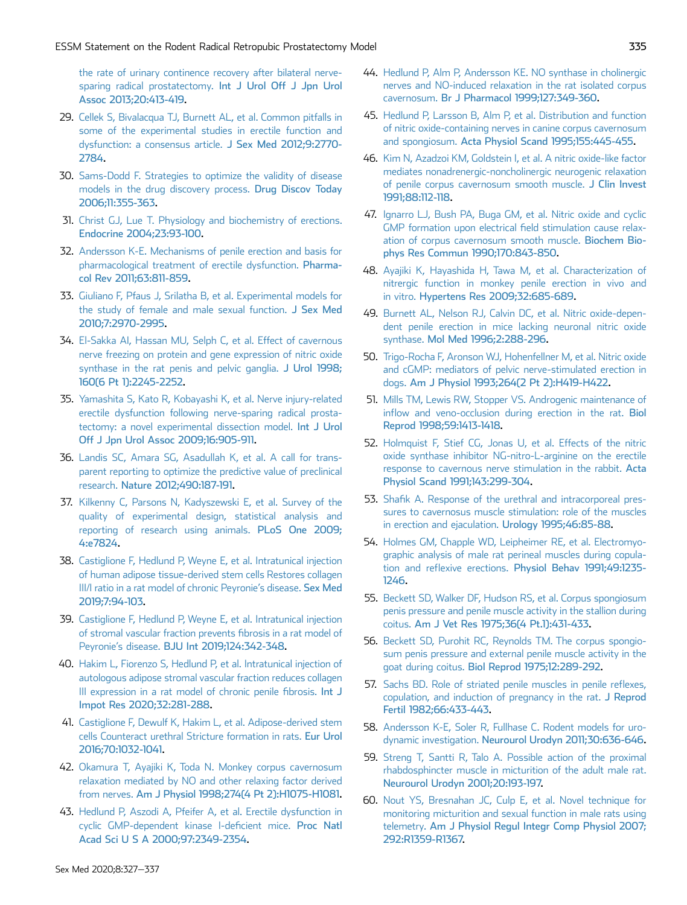[the rate of urinary continence recovery after bilateral nerve](http://refhub.elsevier.com/S2050-1161(20)30083-0/sref28)[sparing radical prostatectomy.](http://refhub.elsevier.com/S2050-1161(20)30083-0/sref28) Int J Urol Off J Jpn Urol [Assoc 2013;20:413-419](http://refhub.elsevier.com/S2050-1161(20)30083-0/sref28).

- <span id="page-8-0"></span>29. [Cellek S, Bivalacqua TJ, Burnett AL, et al. Common pitfalls in](http://refhub.elsevier.com/S2050-1161(20)30083-0/sref29) [some of the experimental studies in erectile function and](http://refhub.elsevier.com/S2050-1161(20)30083-0/sref29) [dysfunction: a consensus article.](http://refhub.elsevier.com/S2050-1161(20)30083-0/sref29) J Sex Med 2012;9:2770- [2784](http://refhub.elsevier.com/S2050-1161(20)30083-0/sref29).
- <span id="page-8-1"></span>30. [Sams-Dodd F. Strategies to optimize the validity of disease](http://refhub.elsevier.com/S2050-1161(20)30083-0/sref30) [models in the drug discovery process.](http://refhub.elsevier.com/S2050-1161(20)30083-0/sref30) Drug Discov Today [2006;11:355-363.](http://refhub.elsevier.com/S2050-1161(20)30083-0/sref30)
- <span id="page-8-2"></span>31. [Christ GJ, Lue T. Physiology and biochemistry of erections.](http://refhub.elsevier.com/S2050-1161(20)30083-0/sref31) [Endocrine 2004;23:93-100.](http://refhub.elsevier.com/S2050-1161(20)30083-0/sref31)
- <span id="page-8-13"></span>32. [Andersson K-E. Mechanisms of penile erection and basis for](http://refhub.elsevier.com/S2050-1161(20)30083-0/sref32) [pharmacological treatment of erectile dysfunction.](http://refhub.elsevier.com/S2050-1161(20)30083-0/sref32) Pharma[col Rev 2011;63:811-859](http://refhub.elsevier.com/S2050-1161(20)30083-0/sref32).
- <span id="page-8-12"></span>33. [Giuliano F, Pfaus J, Srilatha B, et al. Experimental models for](http://refhub.elsevier.com/S2050-1161(20)30083-0/sref33) [the study of female and male sexual function.](http://refhub.elsevier.com/S2050-1161(20)30083-0/sref33) J Sex Med [2010;7:2970-2995](http://refhub.elsevier.com/S2050-1161(20)30083-0/sref33).
- 34. [El-Sakka AI, Hassan MU, Selph C, et al. Effect of cavernous](http://refhub.elsevier.com/S2050-1161(20)30083-0/sref34) [nerve freezing on protein and gene expression of nitric oxide](http://refhub.elsevier.com/S2050-1161(20)30083-0/sref34) [synthase in the rat penis and pelvic ganglia.](http://refhub.elsevier.com/S2050-1161(20)30083-0/sref34) J Urol 1998; [160\(6 Pt 1\):2245-2252](http://refhub.elsevier.com/S2050-1161(20)30083-0/sref34).
- 35. [Yamashita S, Kato R, Kobayashi K, et al. Nerve injury-related](http://refhub.elsevier.com/S2050-1161(20)30083-0/sref35) [erectile dysfunction following nerve-sparing radical prosta](http://refhub.elsevier.com/S2050-1161(20)30083-0/sref35)[tectomy: a novel experimental dissection model.](http://refhub.elsevier.com/S2050-1161(20)30083-0/sref35) Int J Urol [Off J Jpn Urol Assoc 2009;16:905-911.](http://refhub.elsevier.com/S2050-1161(20)30083-0/sref35)
- <span id="page-8-4"></span><span id="page-8-3"></span>36. [Landis SC, Amara SG, Asadullah K, et al. A call for trans](http://refhub.elsevier.com/S2050-1161(20)30083-0/sref36)[parent reporting to optimize the predictive value of preclinical](http://refhub.elsevier.com/S2050-1161(20)30083-0/sref36) research. [Nature 2012;490:187-191.](http://refhub.elsevier.com/S2050-1161(20)30083-0/sref36)
- <span id="page-8-5"></span>37. [Kilkenny C, Parsons N, Kadyszewski E, et al. Survey of the](http://refhub.elsevier.com/S2050-1161(20)30083-0/sref37) [quality of experimental design, statistical analysis and](http://refhub.elsevier.com/S2050-1161(20)30083-0/sref37) [reporting of research using animals.](http://refhub.elsevier.com/S2050-1161(20)30083-0/sref37) PLoS One 2009; [4:e7824.](http://refhub.elsevier.com/S2050-1161(20)30083-0/sref37)
- 38. [Castiglione F, Hedlund P, Weyne E, et al. Intratunical injection](http://refhub.elsevier.com/S2050-1161(20)30083-0/sref38) [of human adipose tissue-derived stem cells Restores collagen](http://refhub.elsevier.com/S2050-1161(20)30083-0/sref38) [III/I ratio in a rat model of chronic Peyronie](http://refhub.elsevier.com/S2050-1161(20)30083-0/sref38)'s disease. Sex Med [2019;7:94-103.](http://refhub.elsevier.com/S2050-1161(20)30083-0/sref38)
- 39. [Castiglione F, Hedlund P, Weyne E, et al. Intratunical injection](http://refhub.elsevier.com/S2050-1161(20)30083-0/sref39) [of stromal vascular fraction prevents](http://refhub.elsevier.com/S2050-1161(20)30083-0/sref39) fibrosis in a rat model of Peyronie's disease. [BJU Int 2019;124:342-348.](http://refhub.elsevier.com/S2050-1161(20)30083-0/sref39)
- 40. [Hakim L, Fiorenzo S, Hedlund P, et al. Intratunical injection of](http://refhub.elsevier.com/S2050-1161(20)30083-0/sref40) [autologous adipose stromal vascular fraction reduces collagen](http://refhub.elsevier.com/S2050-1161(20)30083-0/sref40) [III expression in a rat model of chronic penile](http://refhub.elsevier.com/S2050-1161(20)30083-0/sref40) fibrosis. Int J [Impot Res 2020;32:281-288](http://refhub.elsevier.com/S2050-1161(20)30083-0/sref40).
- <span id="page-8-6"></span>41. [Castiglione F, Dewulf K, Hakim L, et al. Adipose-derived stem](http://refhub.elsevier.com/S2050-1161(20)30083-0/sref41) [cells Counteract urethral Stricture formation in rats.](http://refhub.elsevier.com/S2050-1161(20)30083-0/sref41) Eur Urol [2016;70:1032-1041](http://refhub.elsevier.com/S2050-1161(20)30083-0/sref41).
- 42. [Okamura T, Ayajiki K, Toda N. Monkey corpus cavernosum](http://refhub.elsevier.com/S2050-1161(20)30083-0/sref42) [relaxation mediated by NO and other relaxing factor derived](http://refhub.elsevier.com/S2050-1161(20)30083-0/sref42) from nerves. [Am J Physiol 1998;274\(4 Pt 2\):H1075-H1081](http://refhub.elsevier.com/S2050-1161(20)30083-0/sref42).
- 43. [Hedlund P, Aszodi A, Pfeifer A, et al. Erectile dysfunction in](http://refhub.elsevier.com/S2050-1161(20)30083-0/sref43) [cyclic GMP-dependent kinase I-de](http://refhub.elsevier.com/S2050-1161(20)30083-0/sref43)ficient mice. Proc Natl [Acad Sci U S A 2000;97:2349-2354](http://refhub.elsevier.com/S2050-1161(20)30083-0/sref43).
- 44. [Hedlund P, Alm P, Andersson KE. NO synthase in cholinergic](http://refhub.elsevier.com/S2050-1161(20)30083-0/sref44) [nerves and NO-induced relaxation in the rat isolated corpus](http://refhub.elsevier.com/S2050-1161(20)30083-0/sref44) cavernosum. [Br J Pharmacol 1999;127:349-360](http://refhub.elsevier.com/S2050-1161(20)30083-0/sref44).
- 45. [Hedlund P, Larsson B, Alm P, et al. Distribution and function](http://refhub.elsevier.com/S2050-1161(20)30083-0/sref45) [of nitric oxide-containing nerves in canine corpus cavernosum](http://refhub.elsevier.com/S2050-1161(20)30083-0/sref45) and spongiosum. [Acta Physiol Scand 1995;155:445-455](http://refhub.elsevier.com/S2050-1161(20)30083-0/sref45).
- 46. [Kim N, Azadzoi KM, Goldstein I, et al. A nitric oxide-like factor](http://refhub.elsevier.com/S2050-1161(20)30083-0/sref46) [mediates nonadrenergic-noncholinergic neurogenic relaxation](http://refhub.elsevier.com/S2050-1161(20)30083-0/sref46) [of penile corpus cavernosum smooth muscle.](http://refhub.elsevier.com/S2050-1161(20)30083-0/sref46) J Clin Invest [1991;88:112-118](http://refhub.elsevier.com/S2050-1161(20)30083-0/sref46).
- 47. [Ignarro LJ, Bush PA, Buga GM, et al. Nitric oxide and cyclic](http://refhub.elsevier.com/S2050-1161(20)30083-0/sref47) [GMP formation upon electrical](http://refhub.elsevier.com/S2050-1161(20)30083-0/sref47) field stimulation cause relax[ation of corpus cavernosum smooth muscle.](http://refhub.elsevier.com/S2050-1161(20)30083-0/sref47) Biochem Bio[phys Res Commun 1990;170:843-850](http://refhub.elsevier.com/S2050-1161(20)30083-0/sref47).
- <span id="page-8-7"></span>48. [Ayajiki K, Hayashida H, Tawa M, et al. Characterization of](http://refhub.elsevier.com/S2050-1161(20)30083-0/sref48) [nitrergic function in monkey penile erection in vivo and](http://refhub.elsevier.com/S2050-1161(20)30083-0/sref48) in vitro. [Hypertens Res 2009;32:685-689.](http://refhub.elsevier.com/S2050-1161(20)30083-0/sref48)
- 49. [Burnett AL, Nelson RJ, Calvin DC, et al. Nitric oxide-depen](http://refhub.elsevier.com/S2050-1161(20)30083-0/sref49)[dent penile erection in mice lacking neuronal nitric oxide](http://refhub.elsevier.com/S2050-1161(20)30083-0/sref49) synthase. [Mol Med 1996;2:288-296](http://refhub.elsevier.com/S2050-1161(20)30083-0/sref49).
- 50. [Trigo-Rocha F, Aronson WJ, Hohenfellner M, et al. Nitric oxide](http://refhub.elsevier.com/S2050-1161(20)30083-0/sref50) [and cGMP: mediators of pelvic nerve-stimulated erection in](http://refhub.elsevier.com/S2050-1161(20)30083-0/sref50) dogs. [Am J Physiol 1993;264\(2 Pt 2\):H419-H422.](http://refhub.elsevier.com/S2050-1161(20)30083-0/sref50)
- 51. [Mills TM, Lewis RW, Stopper VS. Androgenic maintenance of](http://refhub.elsevier.com/S2050-1161(20)30083-0/sref51) infl[ow and veno-occlusion during erection in the rat.](http://refhub.elsevier.com/S2050-1161(20)30083-0/sref51) Biol [Reprod 1998;59:1413-1418](http://refhub.elsevier.com/S2050-1161(20)30083-0/sref51).
- 52. [Holmquist F, Stief CG, Jonas U, et al. Effects of the nitric](http://refhub.elsevier.com/S2050-1161(20)30083-0/sref52) [oxide synthase inhibitor NG-nitro-L-arginine on the erectile](http://refhub.elsevier.com/S2050-1161(20)30083-0/sref52) [response to cavernous nerve stimulation in the rabbit.](http://refhub.elsevier.com/S2050-1161(20)30083-0/sref52) Acta [Physiol Scand 1991;143:299-304](http://refhub.elsevier.com/S2050-1161(20)30083-0/sref52).
- <span id="page-8-8"></span>53. Shafi[k A. Response of the urethral and intracorporeal pres](http://refhub.elsevier.com/S2050-1161(20)30083-0/sref53)[sures to cavernosus muscle stimulation: role of the muscles](http://refhub.elsevier.com/S2050-1161(20)30083-0/sref53) [in erection and ejaculation.](http://refhub.elsevier.com/S2050-1161(20)30083-0/sref53) Urology 1995;46:85-88.
- 54. [Holmes GM, Chapple WD, Leipheimer RE, et al. Electromyo](http://refhub.elsevier.com/S2050-1161(20)30083-0/sref54)[graphic analysis of male rat perineal muscles during copula](http://refhub.elsevier.com/S2050-1161(20)30083-0/sref54)tion and reflexive erections. [Physiol Behav 1991;49:1235-](http://refhub.elsevier.com/S2050-1161(20)30083-0/sref54) [1246](http://refhub.elsevier.com/S2050-1161(20)30083-0/sref54).
- 55. [Beckett SD, Walker DF, Hudson RS, et al. Corpus spongiosum](http://refhub.elsevier.com/S2050-1161(20)30083-0/sref55) [penis pressure and penile muscle activity in the stallion during](http://refhub.elsevier.com/S2050-1161(20)30083-0/sref55) coitus. [Am J Vet Res 1975;36\(4 Pt.1\):431-433.](http://refhub.elsevier.com/S2050-1161(20)30083-0/sref55)
- 56. [Beckett SD, Purohit RC, Reynolds TM. The corpus spongio](http://refhub.elsevier.com/S2050-1161(20)30083-0/sref56)[sum penis pressure and external penile muscle activity in the](http://refhub.elsevier.com/S2050-1161(20)30083-0/sref56) goat during coitus. [Biol Reprod 1975;12:289-292](http://refhub.elsevier.com/S2050-1161(20)30083-0/sref56).
- <span id="page-8-9"></span>57. [Sachs BD. Role of striated penile muscles in penile re](http://refhub.elsevier.com/S2050-1161(20)30083-0/sref57)flexes, [copulation, and induction of pregnancy in the rat.](http://refhub.elsevier.com/S2050-1161(20)30083-0/sref57) J Reprod [Fertil 1982;66:433-443.](http://refhub.elsevier.com/S2050-1161(20)30083-0/sref57)
- <span id="page-8-10"></span>58. [Andersson K-E, Soler R, Fullhase C. Rodent models for uro](http://refhub.elsevier.com/S2050-1161(20)30083-0/sref58)dynamic investigation. [Neurourol Urodyn 2011;30:636-646](http://refhub.elsevier.com/S2050-1161(20)30083-0/sref58).
- 59. [Streng T, Santti R, Talo A. Possible action of the proximal](http://refhub.elsevier.com/S2050-1161(20)30083-0/sref59) [rhabdosphincter muscle in micturition of the adult male rat.](http://refhub.elsevier.com/S2050-1161(20)30083-0/sref59) [Neurourol Urodyn 2001;20:193-197.](http://refhub.elsevier.com/S2050-1161(20)30083-0/sref59)
- <span id="page-8-11"></span>60. [Nout YS, Bresnahan JC, Culp E, et al. Novel technique for](http://refhub.elsevier.com/S2050-1161(20)30083-0/sref60) [monitoring micturition and sexual function in male rats using](http://refhub.elsevier.com/S2050-1161(20)30083-0/sref60) telemetry. [Am J Physiol Regul Integr Comp Physiol 2007;](http://refhub.elsevier.com/S2050-1161(20)30083-0/sref60) [292:R1359-R1367.](http://refhub.elsevier.com/S2050-1161(20)30083-0/sref60)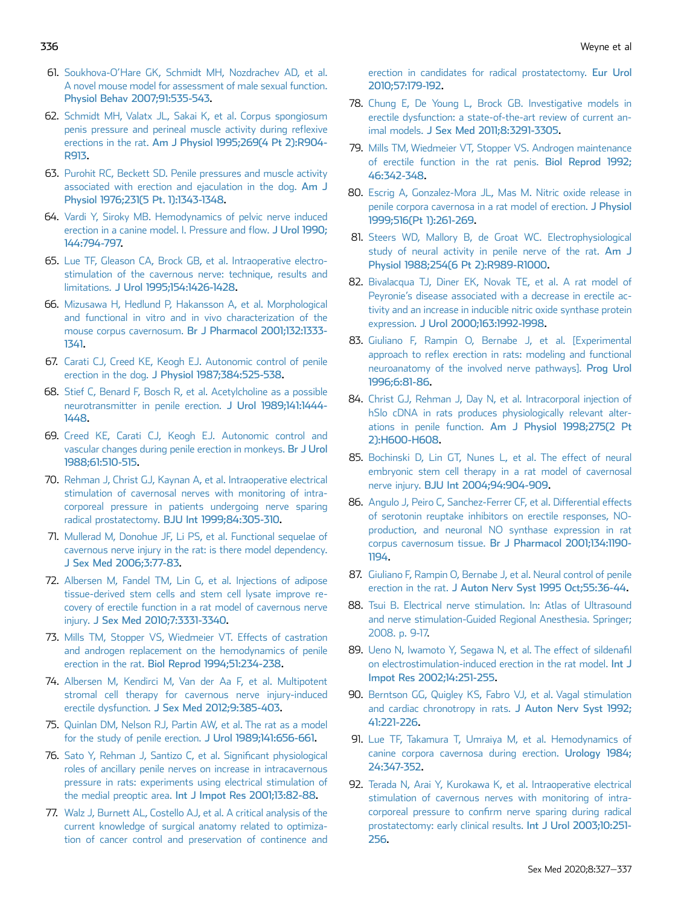- <span id="page-9-0"></span>61. Soukhova-O'[Hare GK, Schmidt MH, Nozdrachev AD, et al.](http://refhub.elsevier.com/S2050-1161(20)30083-0/sref61) [A novel mouse model for assessment of male sexual function.](http://refhub.elsevier.com/S2050-1161(20)30083-0/sref61) [Physiol Behav 2007;91:535-543](http://refhub.elsevier.com/S2050-1161(20)30083-0/sref61).
- <span id="page-9-5"></span>62. [Schmidt MH, Valatx JL, Sakai K, et al. Corpus spongiosum](http://refhub.elsevier.com/S2050-1161(20)30083-0/sref62) [penis pressure and perineal muscle activity during re](http://refhub.elsevier.com/S2050-1161(20)30083-0/sref62)flexive erections in the rat. [Am J Physiol 1995;269\(4 Pt 2\):R904-](http://refhub.elsevier.com/S2050-1161(20)30083-0/sref62) [R913.](http://refhub.elsevier.com/S2050-1161(20)30083-0/sref62)
- 63. [Purohit RC, Beckett SD. Penile pressures and muscle activity](http://refhub.elsevier.com/S2050-1161(20)30083-0/sref63) [associated with erection and ejaculation in the dog.](http://refhub.elsevier.com/S2050-1161(20)30083-0/sref63) Am J [Physiol 1976;231\(5 Pt. 1\):1343-1348](http://refhub.elsevier.com/S2050-1161(20)30083-0/sref63).
- <span id="page-9-1"></span>64. [Vardi Y, Siroky MB. Hemodynamics of pelvic nerve induced](http://refhub.elsevier.com/S2050-1161(20)30083-0/sref64) [erection in a canine model. I. Pressure and](http://refhub.elsevier.com/S2050-1161(20)30083-0/sref64) flow. J Urol 1990; [144:794-797.](http://refhub.elsevier.com/S2050-1161(20)30083-0/sref64)
- <span id="page-9-2"></span>65. [Lue TF, Gleason CA, Brock GB, et al. Intraoperative electro](http://refhub.elsevier.com/S2050-1161(20)30083-0/sref65)[stimulation of the cavernous nerve: technique, results and](http://refhub.elsevier.com/S2050-1161(20)30083-0/sref65) limitations. [J Urol 1995;154:1426-1428](http://refhub.elsevier.com/S2050-1161(20)30083-0/sref65).
- <span id="page-9-3"></span>66. [Mizusawa H, Hedlund P, Hakansson A, et al. Morphological](http://refhub.elsevier.com/S2050-1161(20)30083-0/sref66) [and functional in vitro and in vivo characterization of the](http://refhub.elsevier.com/S2050-1161(20)30083-0/sref66) mouse corpus cavernosum. [Br J Pharmacol 2001;132:1333-](http://refhub.elsevier.com/S2050-1161(20)30083-0/sref66) [1341.](http://refhub.elsevier.com/S2050-1161(20)30083-0/sref66)
- 67. [Carati CJ, Creed KE, Keogh EJ. Autonomic control of penile](http://refhub.elsevier.com/S2050-1161(20)30083-0/sref67) erection in the dog. [J Physiol 1987;384:525-538](http://refhub.elsevier.com/S2050-1161(20)30083-0/sref67).
- 68. [Stief C, Benard F, Bosch R, et al. Acetylcholine as a possible](http://refhub.elsevier.com/S2050-1161(20)30083-0/sref68) [neurotransmitter in penile erection.](http://refhub.elsevier.com/S2050-1161(20)30083-0/sref68) J Urol 1989;141:1444- [1448](http://refhub.elsevier.com/S2050-1161(20)30083-0/sref68).
- 69. [Creed KE, Carati CJ, Keogh EJ. Autonomic control and](http://refhub.elsevier.com/S2050-1161(20)30083-0/sref69) [vascular changes during penile erection in monkeys.](http://refhub.elsevier.com/S2050-1161(20)30083-0/sref69) Br J Urol [1988;61:510-515](http://refhub.elsevier.com/S2050-1161(20)30083-0/sref69).
- <span id="page-9-4"></span>70. [Rehman J, Christ GJ, Kaynan A, et al. Intraoperative electrical](http://refhub.elsevier.com/S2050-1161(20)30083-0/sref70) [stimulation of cavernosal nerves with monitoring of intra](http://refhub.elsevier.com/S2050-1161(20)30083-0/sref70)[corporeal pressure in patients undergoing nerve sparing](http://refhub.elsevier.com/S2050-1161(20)30083-0/sref70) radical prostatectomy. [BJU Int 1999;84:305-310.](http://refhub.elsevier.com/S2050-1161(20)30083-0/sref70)
- <span id="page-9-6"></span>71. [Mullerad M, Donohue JF, Li PS, et al. Functional sequelae of](http://refhub.elsevier.com/S2050-1161(20)30083-0/sref81) [cavernous nerve injury in the rat: is there model dependency.](http://refhub.elsevier.com/S2050-1161(20)30083-0/sref81) [J Sex Med 2006;3:77-83.](http://refhub.elsevier.com/S2050-1161(20)30083-0/sref81)
- <span id="page-9-7"></span>72. [Albersen M, Fandel TM, Lin G, et al. Injections of adipose](http://refhub.elsevier.com/S2050-1161(20)30083-0/sref71) [tissue-derived stem cells and stem cell lysate improve re](http://refhub.elsevier.com/S2050-1161(20)30083-0/sref71)[covery of erectile function in a rat model of cavernous nerve](http://refhub.elsevier.com/S2050-1161(20)30083-0/sref71) injury. [J Sex Med 2010;7:3331-3340](http://refhub.elsevier.com/S2050-1161(20)30083-0/sref71).
- <span id="page-9-9"></span><span id="page-9-8"></span>73. [Mills TM, Stopper VS, Wiedmeier VT. Effects of castration](http://refhub.elsevier.com/S2050-1161(20)30083-0/sref72) [and androgen replacement on the hemodynamics of penile](http://refhub.elsevier.com/S2050-1161(20)30083-0/sref72) erection in the rat. [Biol Reprod 1994;51:234-238.](http://refhub.elsevier.com/S2050-1161(20)30083-0/sref72)
- <span id="page-9-10"></span>74. [Albersen M, Kendirci M, Van der Aa F, et al. Multipotent](http://refhub.elsevier.com/S2050-1161(20)30083-0/sref73) [stromal cell therapy for cavernous nerve injury-induced](http://refhub.elsevier.com/S2050-1161(20)30083-0/sref73) erectile dysfunction. [J Sex Med 2012;9:385-403.](http://refhub.elsevier.com/S2050-1161(20)30083-0/sref73)
- <span id="page-9-12"></span>75. [Quinlan DM, Nelson RJ, Partin AW, et al. The rat as a model](http://refhub.elsevier.com/S2050-1161(20)30083-0/sref74) [for the study of penile erection.](http://refhub.elsevier.com/S2050-1161(20)30083-0/sref74) J Urol 1989;141:656-661.
- 76. [Sato Y, Rehman J, Santizo C, et al. Signi](http://refhub.elsevier.com/S2050-1161(20)30083-0/sref75)ficant physiological [roles of ancillary penile nerves on increase in intracavernous](http://refhub.elsevier.com/S2050-1161(20)30083-0/sref75) [pressure in rats: experiments using electrical stimulation of](http://refhub.elsevier.com/S2050-1161(20)30083-0/sref75) the medial preoptic area. [Int J Impot Res 2001;13:82-88.](http://refhub.elsevier.com/S2050-1161(20)30083-0/sref75)
- 77. [Walz J, Burnett AL, Costello AJ, et al. A critical analysis of the](http://refhub.elsevier.com/S2050-1161(20)30083-0/sref76) [current knowledge of surgical anatomy related to optimiza](http://refhub.elsevier.com/S2050-1161(20)30083-0/sref76)[tion of cancer control and preservation of continence and](http://refhub.elsevier.com/S2050-1161(20)30083-0/sref76)

[erection in candidates for radical prostatectomy.](http://refhub.elsevier.com/S2050-1161(20)30083-0/sref76) Eur Urol [2010;57:179-192](http://refhub.elsevier.com/S2050-1161(20)30083-0/sref76).

- <span id="page-9-11"></span>78. [Chung E, De Young L, Brock GB. Investigative models in](http://refhub.elsevier.com/S2050-1161(20)30083-0/sref77) [erectile dysfunction: a state-of-the-art review of current an](http://refhub.elsevier.com/S2050-1161(20)30083-0/sref77)imal models. [J Sex Med 2011;8:3291-3305.](http://refhub.elsevier.com/S2050-1161(20)30083-0/sref77)
- <span id="page-9-13"></span>79. [Mills TM, Wiedmeier VT, Stopper VS. Androgen maintenance](http://refhub.elsevier.com/S2050-1161(20)30083-0/sref78) [of erectile function in the rat penis.](http://refhub.elsevier.com/S2050-1161(20)30083-0/sref78) Biol Reprod 1992; [46:342-348](http://refhub.elsevier.com/S2050-1161(20)30083-0/sref78).
- <span id="page-9-17"></span>80. [Escrig A, Gonzalez-Mora JL, Mas M. Nitric oxide release in](http://refhub.elsevier.com/S2050-1161(20)30083-0/sref79) [penile corpora cavernosa in a rat model of erection.](http://refhub.elsevier.com/S2050-1161(20)30083-0/sref79) J Physiol [1999;516\(Pt 1\):261-269.](http://refhub.elsevier.com/S2050-1161(20)30083-0/sref79)
- 81. [Steers WD, Mallory B, de Groat WC. Electrophysiological](http://refhub.elsevier.com/S2050-1161(20)30083-0/sref80) [study of neural activity in penile nerve of the rat.](http://refhub.elsevier.com/S2050-1161(20)30083-0/sref80) Am J [Physiol 1988;254\(6 Pt 2\):R989-R1000](http://refhub.elsevier.com/S2050-1161(20)30083-0/sref80).
- 82. [Bivalacqua TJ, Diner EK, Novak TE, et al. A rat model of](http://refhub.elsevier.com/S2050-1161(20)30083-0/sref82) Peyronie'[s disease associated with a decrease in erectile ac](http://refhub.elsevier.com/S2050-1161(20)30083-0/sref82)[tivity and an increase in inducible nitric oxide synthase protein](http://refhub.elsevier.com/S2050-1161(20)30083-0/sref82) expression. [J Urol 2000;163:1992-1998](http://refhub.elsevier.com/S2050-1161(20)30083-0/sref82).
- 83. [Giuliano F, Rampin O, Bernabe J, et al. \[Experimental](http://refhub.elsevier.com/S2050-1161(20)30083-0/sref83) approach to refl[ex erection in rats: modeling and functional](http://refhub.elsevier.com/S2050-1161(20)30083-0/sref83) [neuroanatomy of the involved nerve pathways\].](http://refhub.elsevier.com/S2050-1161(20)30083-0/sref83) Prog Urol [1996;6:81-86](http://refhub.elsevier.com/S2050-1161(20)30083-0/sref83).
- <span id="page-9-14"></span>84. [Christ GJ, Rehman J, Day N, et al. Intracorporal injection of](http://refhub.elsevier.com/S2050-1161(20)30083-0/sref84) [hSlo cDNA in rats produces physiologically relevant alter](http://refhub.elsevier.com/S2050-1161(20)30083-0/sref84)ations in penile function. [Am J Physiol 1998;275\(2 Pt](http://refhub.elsevier.com/S2050-1161(20)30083-0/sref84) [2\):H600-H608](http://refhub.elsevier.com/S2050-1161(20)30083-0/sref84).
- 85. [Bochinski D, Lin GT, Nunes L, et al. The effect of neural](http://refhub.elsevier.com/S2050-1161(20)30083-0/sref85) [embryonic stem cell therapy in a rat model of cavernosal](http://refhub.elsevier.com/S2050-1161(20)30083-0/sref85) nerve injury. [BJU Int 2004;94:904-909.](http://refhub.elsevier.com/S2050-1161(20)30083-0/sref85)
- 86. [Angulo J, Peiro C, Sanchez-Ferrer CF, et al. Differential effects](http://refhub.elsevier.com/S2050-1161(20)30083-0/sref86) [of serotonin reuptake inhibitors on erectile responses, NO](http://refhub.elsevier.com/S2050-1161(20)30083-0/sref86)[production, and neuronal NO synthase expression in rat](http://refhub.elsevier.com/S2050-1161(20)30083-0/sref86) corpus cavernosum tissue. [Br J Pharmacol 2001;134:1190-](http://refhub.elsevier.com/S2050-1161(20)30083-0/sref86) [1194](http://refhub.elsevier.com/S2050-1161(20)30083-0/sref86).
- <span id="page-9-16"></span><span id="page-9-15"></span>87. [Giuliano F, Rampin O, Bernabe J, et al. Neural control of penile](http://refhub.elsevier.com/S2050-1161(20)30083-0/sref87) erection in the rat. [J Auton Nerv Syst 1995 Oct;55:36-44](http://refhub.elsevier.com/S2050-1161(20)30083-0/sref87).
- <span id="page-9-18"></span>88. [Tsui B. Electrical nerve stimulation. In: Atlas of Ultrasound](http://refhub.elsevier.com/S2050-1161(20)30083-0/sref88) [and nerve stimulation-Guided Regional Anesthesia. Springer;](http://refhub.elsevier.com/S2050-1161(20)30083-0/sref88) [2008. p. 9-17.](http://refhub.elsevier.com/S2050-1161(20)30083-0/sref88)
- <span id="page-9-19"></span>89. [Ueno N, Iwamoto Y, Segawa N, et al. The effect of sildena](http://refhub.elsevier.com/S2050-1161(20)30083-0/sref89)fil [on electrostimulation-induced erection in the rat model.](http://refhub.elsevier.com/S2050-1161(20)30083-0/sref89) Int J [Impot Res 2002;14:251-255.](http://refhub.elsevier.com/S2050-1161(20)30083-0/sref89)
- <span id="page-9-20"></span>90. [Berntson GG, Quigley KS, Fabro VJ, et al. Vagal stimulation](http://refhub.elsevier.com/S2050-1161(20)30083-0/sref90) [and cardiac chronotropy in rats.](http://refhub.elsevier.com/S2050-1161(20)30083-0/sref90) J Auton Nerv Syst 1992; [41:221-226](http://refhub.elsevier.com/S2050-1161(20)30083-0/sref90).
- <span id="page-9-21"></span>91. [Lue TF, Takamura T, Umraiya M, et al. Hemodynamics of](http://refhub.elsevier.com/S2050-1161(20)30083-0/sref91) [canine corpora cavernosa during erection.](http://refhub.elsevier.com/S2050-1161(20)30083-0/sref91) Urology 1984; [24:347-352.](http://refhub.elsevier.com/S2050-1161(20)30083-0/sref91)
- 92. [Terada N, Arai Y, Kurokawa K, et al. Intraoperative electrical](http://refhub.elsevier.com/S2050-1161(20)30083-0/sref92) [stimulation of cavernous nerves with monitoring of intra](http://refhub.elsevier.com/S2050-1161(20)30083-0/sref92)corporeal pressure to confi[rm nerve sparing during radical](http://refhub.elsevier.com/S2050-1161(20)30083-0/sref92) [prostatectomy: early clinical results.](http://refhub.elsevier.com/S2050-1161(20)30083-0/sref92) Int J Urol 2003;10:251- [256](http://refhub.elsevier.com/S2050-1161(20)30083-0/sref92).